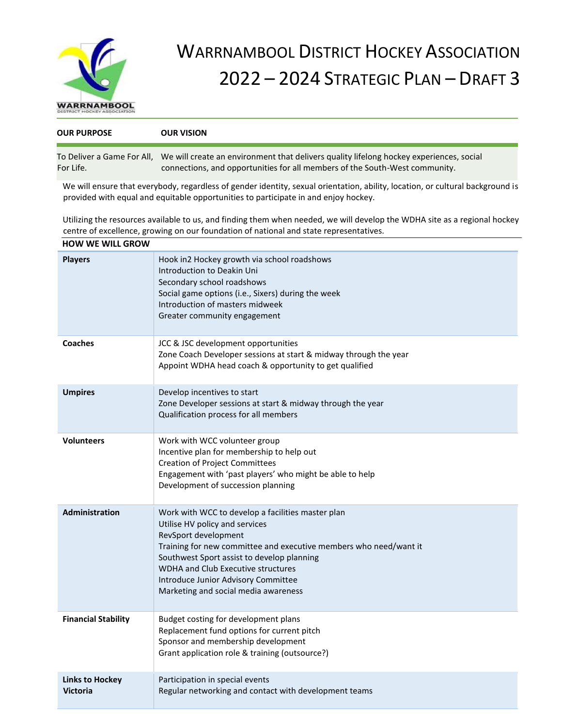

## WARRNAMBOOL DISTRICT HOCKEY ASSOCIATION 2022 – 2024 STRATEGIC PLAN – DRAFT 3

| <b>OUR PURPOSE</b> | <b>OUR VISION</b>                                                                                                                                                                                 |
|--------------------|---------------------------------------------------------------------------------------------------------------------------------------------------------------------------------------------------|
| For Life.          | To Deliver a Game For All, We will create an environment that delivers quality lifelong hockey experiences, social<br>connections, and opportunities for all members of the South-West community. |

We will ensure that everybody, regardless of gender identity, sexual orientation, ability, location, or cultural background is provided with equal and equitable opportunities to participate in and enjoy hockey.

Utilizing the resources available to us, and finding them when needed, we will develop the WDHA site as a regional hockey centre of excellence, growing on our foundation of national and state representatives. **HOW WE WILL GROW** 

| <b>HOW WE WILL GROW</b>                   |                                                                                                                                                                                                                                                                                                                                                            |
|-------------------------------------------|------------------------------------------------------------------------------------------------------------------------------------------------------------------------------------------------------------------------------------------------------------------------------------------------------------------------------------------------------------|
| <b>Players</b>                            | Hook in2 Hockey growth via school roadshows<br>Introduction to Deakin Uni<br>Secondary school roadshows<br>Social game options (i.e., Sixers) during the week<br>Introduction of masters midweek<br>Greater community engagement                                                                                                                           |
| Coaches                                   | JCC & JSC development opportunities<br>Zone Coach Developer sessions at start & midway through the year<br>Appoint WDHA head coach & opportunity to get qualified                                                                                                                                                                                          |
| <b>Umpires</b>                            | Develop incentives to start<br>Zone Developer sessions at start & midway through the year<br>Qualification process for all members                                                                                                                                                                                                                         |
| <b>Volunteers</b>                         | Work with WCC volunteer group<br>Incentive plan for membership to help out<br><b>Creation of Project Committees</b><br>Engagement with 'past players' who might be able to help<br>Development of succession planning                                                                                                                                      |
| Administration                            | Work with WCC to develop a facilities master plan<br>Utilise HV policy and services<br>RevSport development<br>Training for new committee and executive members who need/want it<br>Southwest Sport assist to develop planning<br><b>WDHA and Club Executive structures</b><br>Introduce Junior Advisory Committee<br>Marketing and social media awareness |
| <b>Financial Stability</b>                | Budget costing for development plans<br>Replacement fund options for current pitch<br>Sponsor and membership development<br>Grant application role & training (outsource?)                                                                                                                                                                                 |
| <b>Links to Hockey</b><br><b>Victoria</b> | Participation in special events<br>Regular networking and contact with development teams                                                                                                                                                                                                                                                                   |